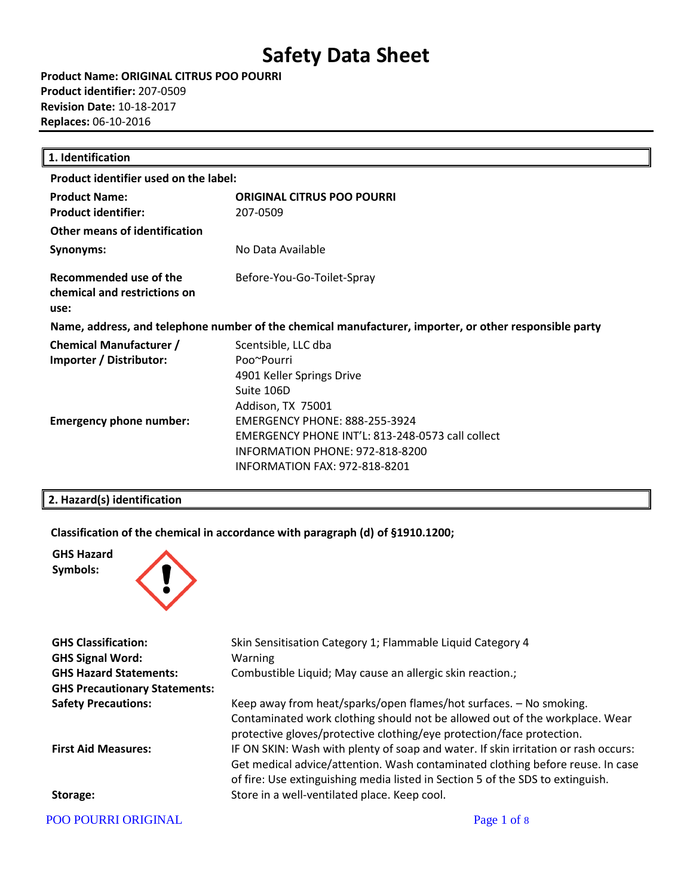**Product Name: ORIGINAL CITRUS POO POURRI Product identifier:** 207-0509 **Revision Date:** 10-18-2017 **Replaces:** 06-10-2016

| 1. Identification                                                                                      |                                                                                                                                                              |  |
|--------------------------------------------------------------------------------------------------------|--------------------------------------------------------------------------------------------------------------------------------------------------------------|--|
| Product identifier used on the label:                                                                  |                                                                                                                                                              |  |
| <b>Product Name:</b><br><b>Product identifier:</b>                                                     | <b>ORIGINAL CITRUS POO POURRI</b><br>207-0509                                                                                                                |  |
| <b>Other means of identification</b>                                                                   |                                                                                                                                                              |  |
| Synonyms:                                                                                              | No Data Available                                                                                                                                            |  |
| Recommended use of the<br>chemical and restrictions on<br>use:                                         | Before-You-Go-Toilet-Spray                                                                                                                                   |  |
| Name, address, and telephone number of the chemical manufacturer, importer, or other responsible party |                                                                                                                                                              |  |
| <b>Chemical Manufacturer /</b><br>Importer / Distributor:                                              | Scentsible, LLC dba<br>Poo~Pourri<br>4901 Keller Springs Drive<br>Suite 106D<br>Addison, TX 75001                                                            |  |
| <b>Emergency phone number:</b>                                                                         | <b>EMERGENCY PHONE: 888-255-3924</b><br>EMERGENCY PHONE INT'L: 813-248-0573 call collect<br>INFORMATION PHONE: 972-818-8200<br>INFORMATION FAX: 972-818-8201 |  |

#### **2. Hazard(s) identification**

**Classification of the chemical in accordance with paragraph (d) of §1910.1200;**



| <b>GHS Classification:</b>           | Skin Sensitisation Category 1; Flammable Liquid Category 4                                                                                                                                                                                             |
|--------------------------------------|--------------------------------------------------------------------------------------------------------------------------------------------------------------------------------------------------------------------------------------------------------|
| <b>GHS Signal Word:</b>              | Warning                                                                                                                                                                                                                                                |
| <b>GHS Hazard Statements:</b>        | Combustible Liquid; May cause an allergic skin reaction.;                                                                                                                                                                                              |
| <b>GHS Precautionary Statements:</b> |                                                                                                                                                                                                                                                        |
| <b>Safety Precautions:</b>           | Keep away from heat/sparks/open flames/hot surfaces. - No smoking.                                                                                                                                                                                     |
|                                      | Contaminated work clothing should not be allowed out of the workplace. Wear<br>protective gloves/protective clothing/eye protection/face protection.                                                                                                   |
| <b>First Aid Measures:</b>           | IF ON SKIN: Wash with plenty of soap and water. If skin irritation or rash occurs:<br>Get medical advice/attention. Wash contaminated clothing before reuse. In case<br>of fire: Use extinguishing media listed in Section 5 of the SDS to extinguish. |
| Storage:                             | Store in a well-ventilated place. Keep cool.                                                                                                                                                                                                           |
| POO POURRI ORIGINAL                  | Page 1 of 8                                                                                                                                                                                                                                            |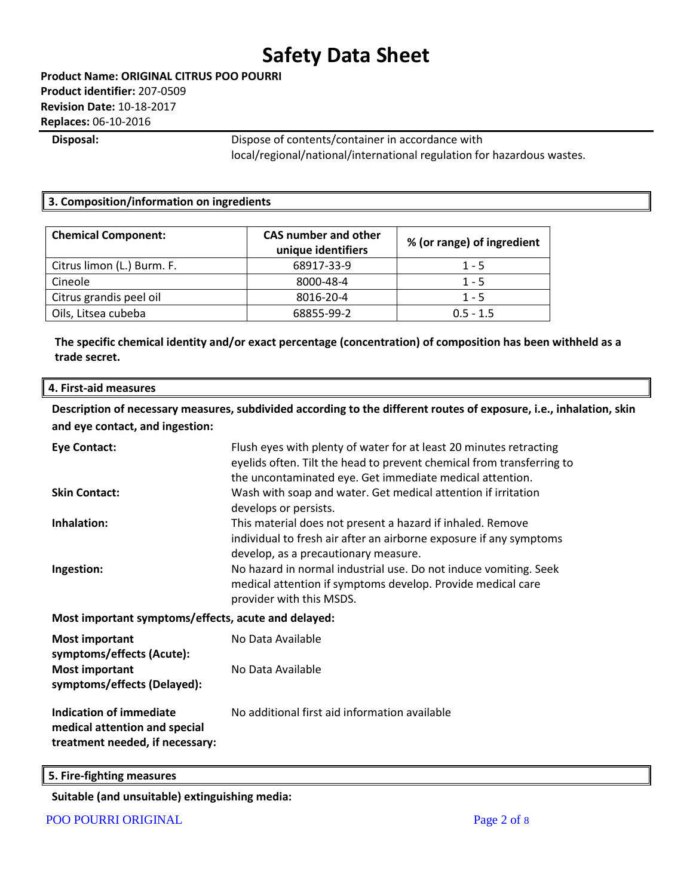**Disposal:** Dispose of contents/container in accordance with local/regional/national/international regulation for hazardous wastes.

#### **3. Composition/information on ingredients**

| <b>Chemical Component:</b> | <b>CAS number and other</b><br>unique identifiers | % (or range) of ingredient |
|----------------------------|---------------------------------------------------|----------------------------|
| Citrus limon (L.) Burm. F. | 68917-33-9                                        | $1 - 5$                    |
| Cineole                    | 8000-48-4                                         | $1 - 5$                    |
| Citrus grandis peel oil    | 8016-20-4                                         | $1 - 5$                    |
| Oils, Litsea cubeba        | 68855-99-2                                        | $0.5 - 1.5$                |

**The specific chemical identity and/or exact percentage (concentration) of composition has been withheld as a trade secret.**

#### **4. First-aid measures**

**Description of necessary measures, subdivided according to the different routes of exposure, i.e., inhalation, skin and eye contact, and ingestion:**

| <b>Eye Contact:</b>                                                                                | Flush eyes with plenty of water for at least 20 minutes retracting<br>eyelids often. Tilt the head to prevent chemical from transferring to<br>the uncontaminated eye. Get immediate medical attention. |
|----------------------------------------------------------------------------------------------------|---------------------------------------------------------------------------------------------------------------------------------------------------------------------------------------------------------|
| <b>Skin Contact:</b>                                                                               | Wash with soap and water. Get medical attention if irritation<br>develops or persists.                                                                                                                  |
| Inhalation:                                                                                        | This material does not present a hazard if inhaled. Remove<br>individual to fresh air after an airborne exposure if any symptoms<br>develop, as a precautionary measure.                                |
| Ingestion:                                                                                         | No hazard in normal industrial use. Do not induce vomiting. Seek<br>medical attention if symptoms develop. Provide medical care<br>provider with this MSDS.                                             |
| Most important symptoms/effects, acute and delayed:                                                |                                                                                                                                                                                                         |
| <b>Most important</b><br>symptoms/effects (Acute):                                                 | No Data Available                                                                                                                                                                                       |
| <b>Most important</b><br>symptoms/effects (Delayed):                                               | No Data Available                                                                                                                                                                                       |
| <b>Indication of immediate</b><br>medical attention and special<br>treatment needed, if necessary: | No additional first aid information available                                                                                                                                                           |

**5. Fire-fighting measures**

**Suitable (and unsuitable) extinguishing media:**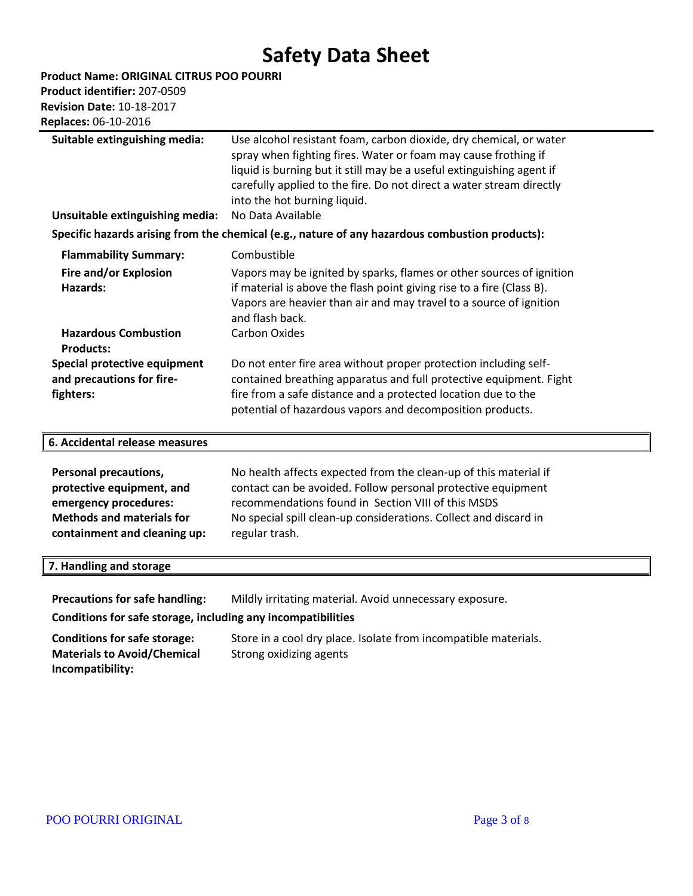**Product Name: ORIGINAL CITRUS POO POURRI** 

**Product identifier:** 207-0509 **Revision Date:** 10-18-2017

**Replaces:** 06-10-2016

| Suitable extinguishing media:                                                                                                                          | Use alcohol resistant foam, carbon dioxide, dry chemical, or water<br>spray when fighting fires. Water or foam may cause frothing if<br>liquid is burning but it still may be a useful extinguishing agent if<br>carefully applied to the fire. Do not direct a water stream directly<br>into the hot burning liquid. |  |
|--------------------------------------------------------------------------------------------------------------------------------------------------------|-----------------------------------------------------------------------------------------------------------------------------------------------------------------------------------------------------------------------------------------------------------------------------------------------------------------------|--|
| Unsuitable extinguishing media:                                                                                                                        | No Data Available                                                                                                                                                                                                                                                                                                     |  |
|                                                                                                                                                        | Specific hazards arising from the chemical (e.g., nature of any hazardous combustion products):                                                                                                                                                                                                                       |  |
| <b>Flammability Summary:</b>                                                                                                                           | Combustible                                                                                                                                                                                                                                                                                                           |  |
| Fire and/or Explosion<br><b>Hazards:</b>                                                                                                               | Vapors may be ignited by sparks, flames or other sources of ignition<br>if material is above the flash point giving rise to a fire (Class B).<br>Vapors are heavier than air and may travel to a source of ignition<br>and flash back.                                                                                |  |
| <b>Hazardous Combustion</b>                                                                                                                            | <b>Carbon Oxides</b>                                                                                                                                                                                                                                                                                                  |  |
| <b>Products:</b>                                                                                                                                       |                                                                                                                                                                                                                                                                                                                       |  |
| Special protective equipment                                                                                                                           | Do not enter fire area without proper protection including self-                                                                                                                                                                                                                                                      |  |
| and precautions for fire-                                                                                                                              | contained breathing apparatus and full protective equipment. Fight                                                                                                                                                                                                                                                    |  |
| fighters:                                                                                                                                              | fire from a safe distance and a protected location due to the<br>potential of hazardous vapors and decomposition products.                                                                                                                                                                                            |  |
|                                                                                                                                                        |                                                                                                                                                                                                                                                                                                                       |  |
| 6. Accidental release measures                                                                                                                         |                                                                                                                                                                                                                                                                                                                       |  |
| <b>Personal precautions,</b><br>protective equipment, and<br>emergency procedures:<br><b>Methods and materials for</b><br>containment and cleaning up: | No health affects expected from the clean-up of this material if<br>contact can be avoided. Follow personal protective equipment<br>recommendations found in Section VIII of this MSDS<br>No special spill clean-up considerations. Collect and discard in<br>regular trash.                                          |  |
| 7. Handling and storage                                                                                                                                |                                                                                                                                                                                                                                                                                                                       |  |
| <b>Precautions for safe handling:</b>                                                                                                                  | Mildly irritating material. Avoid unnecessary exposure.                                                                                                                                                                                                                                                               |  |
| Conditions for safe storage, including any incompatibilities                                                                                           |                                                                                                                                                                                                                                                                                                                       |  |

**Conditions for safe storage:** Store in a cool dry place. Isolate from incompatible materials. **Materials to Avoid/Chemical Incompatibility:** Strong oxidizing agents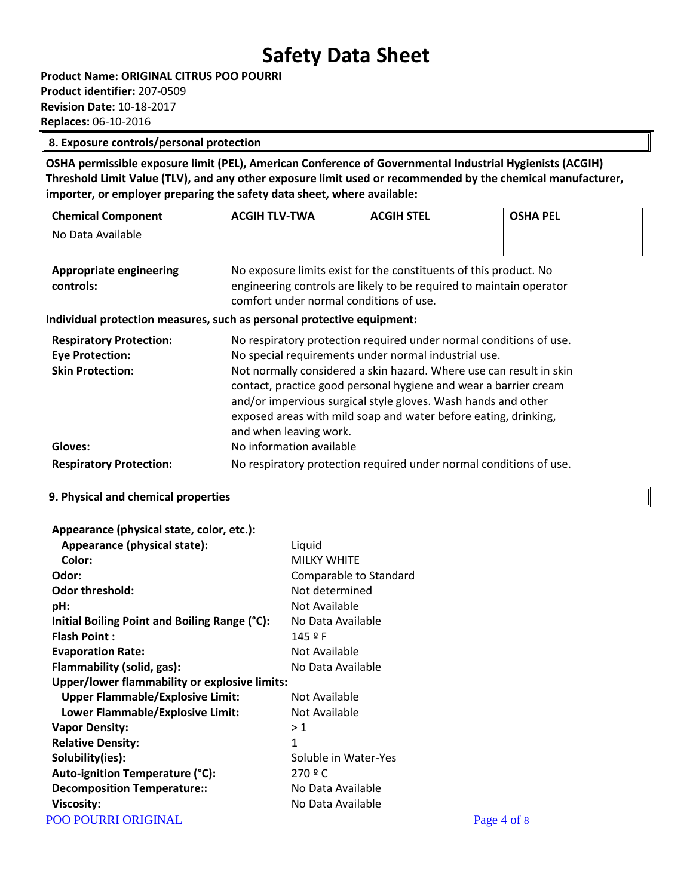#### **8. Exposure controls/personal protection**

**OSHA permissible exposure limit (PEL), American Conference of Governmental Industrial Hygienists (ACGIH) Threshold Limit Value (TLV), and any other exposure limit used or recommended by the chemical manufacturer, importer, or employer preparing the safety data sheet, where available:**

| <b>Chemical Component</b>      | <b>ACGIH TLV-TWA</b>                                              | <b>ACGIH STEL</b> | <b>OSHA PEL</b> |
|--------------------------------|-------------------------------------------------------------------|-------------------|-----------------|
| No Data Available              |                                                                   |                   |                 |
| <b>Appropriate engineering</b> | No exposure limits exist for the constituents of this product. No |                   |                 |

**controls:** engineering controls are likely to be required to maintain operator comfort under normal conditions of use.

#### **Individual protection measures, such as personal protective equipment:**

| <b>Respiratory Protection:</b> | No respiratory protection required under normal conditions of use.  |
|--------------------------------|---------------------------------------------------------------------|
| <b>Eye Protection:</b>         | No special requirements under normal industrial use.                |
| <b>Skin Protection:</b>        | Not normally considered a skin hazard. Where use can result in skin |
|                                | contact, practice good personal hygiene and wear a barrier cream    |
|                                | and/or impervious surgical style gloves. Wash hands and other       |
|                                | exposed areas with mild soap and water before eating, drinking,     |
|                                | and when leaving work.                                              |
| Gloves:                        | No information available                                            |
| <b>Respiratory Protection:</b> | No respiratory protection required under normal conditions of use.  |

#### **9. Physical and chemical properties**

| Appearance (physical state, color, etc.):     |                        |             |
|-----------------------------------------------|------------------------|-------------|
| Appearance (physical state):                  | Liquid                 |             |
| Color:                                        | <b>MILKY WHITE</b>     |             |
| Odor:                                         | Comparable to Standard |             |
| <b>Odor threshold:</b>                        | Not determined         |             |
| pH:                                           | Not Available          |             |
| Initial Boiling Point and Boiling Range (°C): | No Data Available      |             |
| <b>Flash Point:</b>                           | 145 º F                |             |
| <b>Evaporation Rate:</b>                      | Not Available          |             |
| Flammability (solid, gas):                    | No Data Available      |             |
| Upper/lower flammability or explosive limits: |                        |             |
| <b>Upper Flammable/Explosive Limit:</b>       | Not Available          |             |
| Lower Flammable/Explosive Limit:              | Not Available          |             |
| <b>Vapor Density:</b>                         | >1                     |             |
| <b>Relative Density:</b>                      | $\mathbf{1}$           |             |
| Solubility(ies):                              | Soluble in Water-Yes   |             |
| Auto-ignition Temperature (°C):               | 270 º C                |             |
| <b>Decomposition Temperature::</b>            | No Data Available      |             |
| <b>Viscosity:</b>                             | No Data Available      |             |
| <b>POO POURRI ORIGINAL</b>                    |                        | Page 4 of 8 |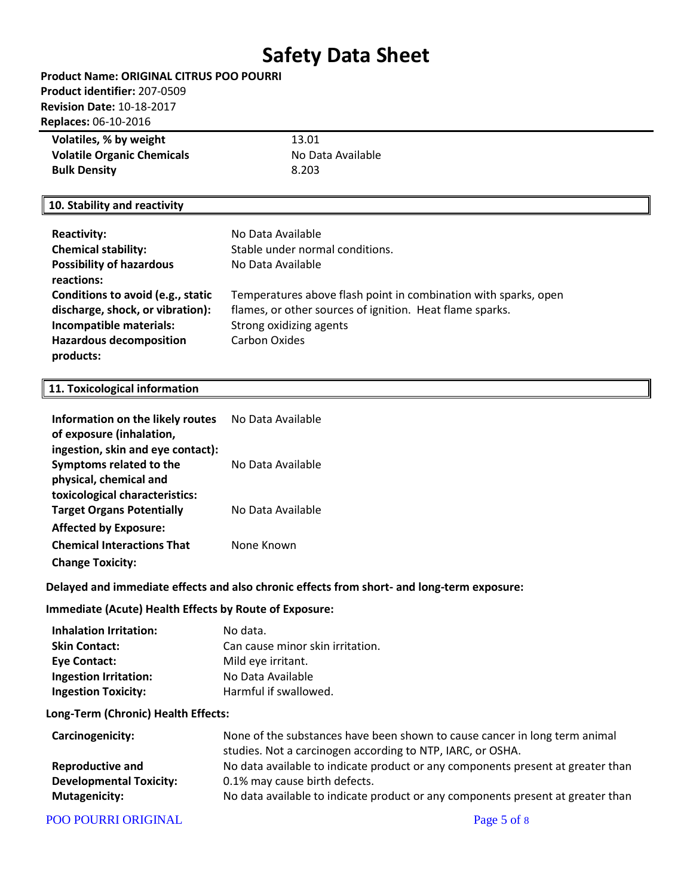| Product Name: ORIGINAL CITRUS POO POURRI |
|------------------------------------------|
| Product identifier: 207-0509             |
| <b>Revision Date: 10-18-2017</b>         |
| <b>Replaces: 06-10-2016</b>              |
|                                          |

| Volatiles, % by weight            | 13.01             |
|-----------------------------------|-------------------|
| <b>Volatile Organic Chemicals</b> | No Data Available |
| <b>Bulk Density</b>               | 8.203             |

#### **10. Stability and reactivity**

| <b>Reactivity:</b>                | No Data Available                                               |
|-----------------------------------|-----------------------------------------------------------------|
| <b>Chemical stability:</b>        | Stable under normal conditions.                                 |
| <b>Possibility of hazardous</b>   | No Data Available                                               |
| reactions:                        |                                                                 |
| Conditions to avoid (e.g., static | Temperatures above flash point in combination with sparks, open |
| discharge, shock, or vibration):  | flames, or other sources of ignition. Heat flame sparks.        |
| Incompatible materials:           | Strong oxidizing agents                                         |
| <b>Hazardous decomposition</b>    | Carbon Oxides                                                   |
| products:                         |                                                                 |

#### **11. Toxicological information**

| Information on the likely routes<br>of exposure (inhalation, | No Data Available |
|--------------------------------------------------------------|-------------------|
| ingestion, skin and eye contact):                            |                   |
| Symptoms related to the                                      | No Data Available |
| physical, chemical and                                       |                   |
| toxicological characteristics:                               |                   |
| <b>Target Organs Potentially</b>                             | No Data Available |
| <b>Affected by Exposure:</b>                                 |                   |
| <b>Chemical Interactions That</b>                            | None Known        |
| <b>Change Toxicity:</b>                                      |                   |

### **Delayed and immediate effects and also chronic effects from short- and long-term exposure:**

### **Immediate (Acute) Health Effects by Route of Exposure:**

| Inhalation Irritation:     | No data.                         |
|----------------------------|----------------------------------|
| <b>Skin Contact:</b>       | Can cause minor skin irritation. |
| Eye Contact:               | Mild eye irritant.               |
| Ingestion Irritation:      | No Data Available                |
| <b>Ingestion Toxicity:</b> | Harmful if swallowed.            |

#### **Long-Term (Chronic) Health Effects:**

| Carcinogenicity:               | None of the substances have been shown to cause cancer in long term animal      |
|--------------------------------|---------------------------------------------------------------------------------|
|                                | studies. Not a carcinogen according to NTP, IARC, or OSHA.                      |
| <b>Reproductive and</b>        | No data available to indicate product or any components present at greater than |
| <b>Developmental Toxicity:</b> | 0.1% may cause birth defects.                                                   |
| <b>Mutagenicity:</b>           | No data available to indicate product or any components present at greater than |

#### POO POURRI ORIGINAL PAGE 2018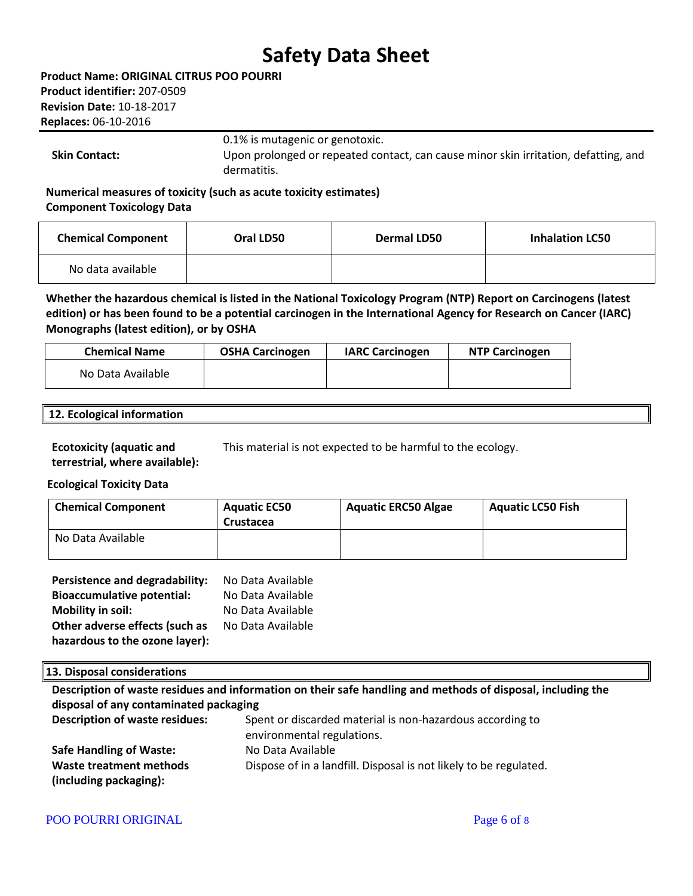**Product Name: ORIGINAL CITRUS POO POURRI Product identifier:** 207-0509 **Revision Date:** 10-18-2017 **Replaces:** 06-10-2016

0.1% is mutagenic or genotoxic.

**Skin Contact:** Upon prolonged or repeated contact, can cause minor skin irritation, defatting, and dermatitis.

**Numerical measures of toxicity (such as acute toxicity estimates) Component Toxicology Data**

| <b>Chemical Component</b> | Oral LD50 | Dermal LD50 | <b>Inhalation LC50</b> |
|---------------------------|-----------|-------------|------------------------|
| No data available         |           |             |                        |

**Whether the hazardous chemical is listed in the National Toxicology Program (NTP) Report on Carcinogens (latest edition) or has been found to be a potential carcinogen in the International Agency for Research on Cancer (IARC) Monographs (latest edition), or by OSHA**

| <b>Chemical Name</b> | <b>OSHA Carcinogen</b> | <b>IARC Carcinogen</b> | <b>NTP Carcinogen</b> |
|----------------------|------------------------|------------------------|-----------------------|
| No Data Available    |                        |                        |                       |

#### **12. Ecological information**

**Ecotoxicity (aquatic and**  This material is not expected to be harmful to the ecology.

**terrestrial, where available):**

#### **Ecological Toxicity Data**

| <b>Chemical Component</b> | <b>Aquatic EC50</b><br>Crustacea | <b>Aquatic ERC50 Algae</b> | <b>Aquatic LC50 Fish</b> |
|---------------------------|----------------------------------|----------------------------|--------------------------|
| No Data Available         |                                  |                            |                          |

| Persistence and degradability:    | No Data Available |
|-----------------------------------|-------------------|
| <b>Bioaccumulative potential:</b> | No Data Available |
| <b>Mobility in soil:</b>          | No Data Available |
| Other adverse effects (such as    | No Data Available |
| hazardous to the ozone layer):    |                   |

#### **13. Disposal considerations**

**Description of waste residues and information on their safe handling and methods of disposal, including the disposal of any contaminated packaging**

| <b>Description of waste residues:</b> | Spent or discarded material is non-hazardous according to         |
|---------------------------------------|-------------------------------------------------------------------|
|                                       | environmental regulations.                                        |
| <b>Safe Handling of Waste:</b>        | No Data Available                                                 |
| Waste treatment methods               | Dispose of in a landfill. Disposal is not likely to be regulated. |
| (including packaging):                |                                                                   |

#### POO POURRI ORIGINAL Page 6 of 8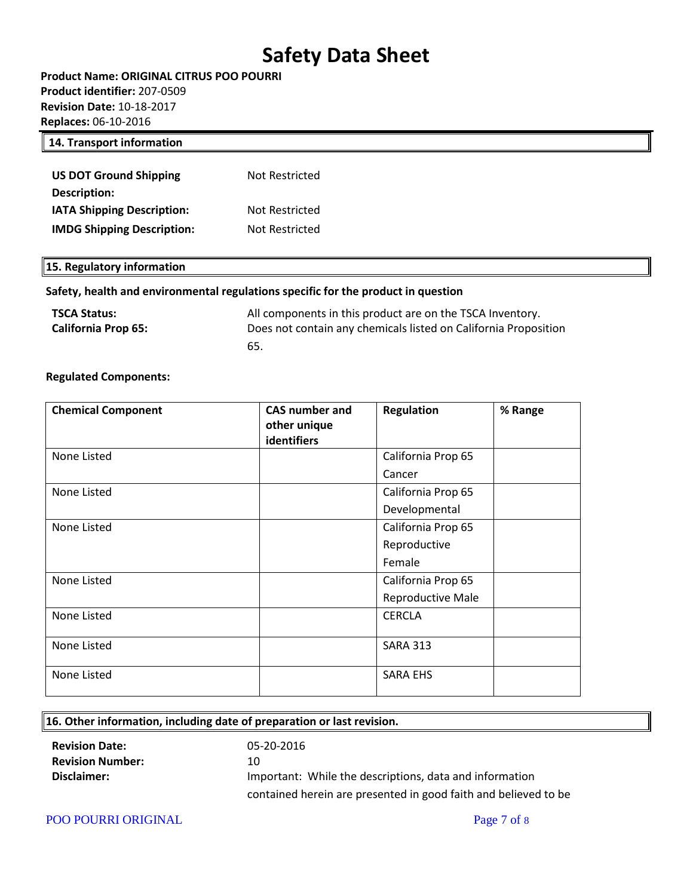**Product Name: ORIGINAL CITRUS POO POURRI Product identifier:** 207-0509 **Revision Date:** 10-18-2017 **Replaces:** 06-10-2016

#### **14. Transport information**

| <b>US DOT Ground Shipping</b>     | Not Restricted |
|-----------------------------------|----------------|
| Description:                      |                |
| <b>IATA Shipping Description:</b> | Not Restricted |
| <b>IMDG Shipping Description:</b> | Not Restricted |

#### **15. Regulatory information**

#### **Safety, health and environmental regulations specific for the product in question**

| <b>TSCA Status:</b>        | All components in this product are on the TSCA Inventory.       |
|----------------------------|-----------------------------------------------------------------|
| <b>California Prop 65:</b> | Does not contain any chemicals listed on California Proposition |
|                            | 65.                                                             |

#### **Regulated Components:**

| <b>Chemical Component</b> | <b>CAS number and</b><br>other unique<br>identifiers | <b>Regulation</b>  | % Range |
|---------------------------|------------------------------------------------------|--------------------|---------|
| None Listed               |                                                      | California Prop 65 |         |
|                           |                                                      | Cancer             |         |
| None Listed               |                                                      | California Prop 65 |         |
|                           |                                                      | Developmental      |         |
| None Listed               |                                                      | California Prop 65 |         |
|                           |                                                      | Reproductive       |         |
|                           |                                                      | Female             |         |
| None Listed               |                                                      | California Prop 65 |         |
|                           |                                                      | Reproductive Male  |         |
| None Listed               |                                                      | <b>CERCLA</b>      |         |
| None Listed               |                                                      | <b>SARA 313</b>    |         |
| None Listed               |                                                      | <b>SARA EHS</b>    |         |

### **16. Other information, including date of preparation or last revision. Revision Date:** 05-20-2016 **Revision Number:** 10 **Disclaimer: Important:** While the descriptions, data and information contained herein are presented in good faith and believed to be

POO POURRI ORIGINAL Page 7 of 8